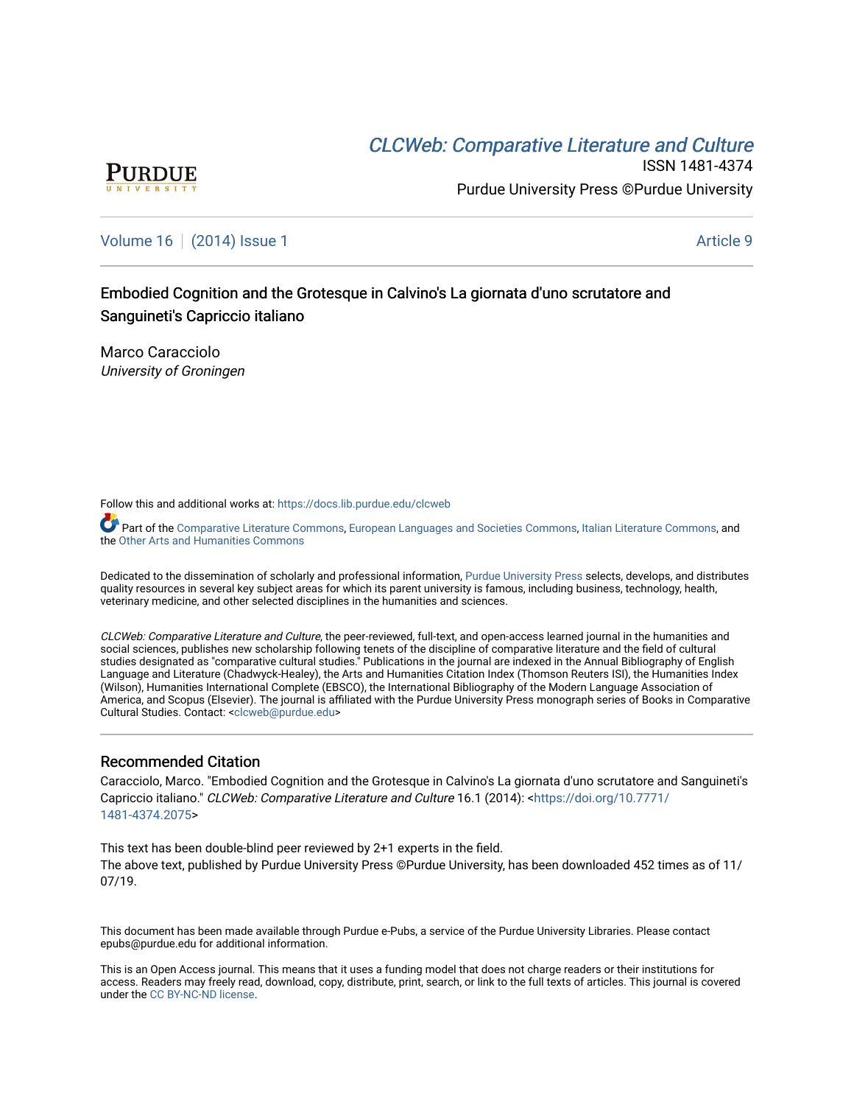# CLCW[eb: Comparative Liter](https://docs.lib.purdue.edu/clcweb)ature and Culture



ISSN 1481-4374 Purdue University Press ©Purdue University

[Volume 16](https://docs.lib.purdue.edu/clcweb/vol16) | [\(2014\) Issue 1](https://docs.lib.purdue.edu/clcweb/vol16/iss1) Article 9

Embodied Cognition and the Grotesque in Calvino's La giornata d'uno scrutatore and Sanguineti's Capriccio italiano

Marco Caracciolo University of Groningen

Follow this and additional works at: [https://docs.lib.purdue.edu/clcweb](https://docs.lib.purdue.edu/clcweb?utm_source=docs.lib.purdue.edu%2Fclcweb%2Fvol16%2Fiss1%2F9&utm_medium=PDF&utm_campaign=PDFCoverPages)

Part of the [Comparative Literature Commons,](http://network.bepress.com/hgg/discipline/454?utm_source=docs.lib.purdue.edu%2Fclcweb%2Fvol16%2Fiss1%2F9&utm_medium=PDF&utm_campaign=PDFCoverPages) [European Languages and Societies Commons,](http://network.bepress.com/hgg/discipline/482?utm_source=docs.lib.purdue.edu%2Fclcweb%2Fvol16%2Fiss1%2F9&utm_medium=PDF&utm_campaign=PDFCoverPages) [Italian Literature Commons,](http://network.bepress.com/hgg/discipline/473?utm_source=docs.lib.purdue.edu%2Fclcweb%2Fvol16%2Fiss1%2F9&utm_medium=PDF&utm_campaign=PDFCoverPages) and the [Other Arts and Humanities Commons](http://network.bepress.com/hgg/discipline/577?utm_source=docs.lib.purdue.edu%2Fclcweb%2Fvol16%2Fiss1%2F9&utm_medium=PDF&utm_campaign=PDFCoverPages)

Dedicated to the dissemination of scholarly and professional information, [Purdue University Press](http://www.thepress.purdue.edu/) selects, develops, and distributes quality resources in several key subject areas for which its parent university is famous, including business, technology, health, veterinary medicine, and other selected disciplines in the humanities and sciences.

CLCWeb: Comparative Literature and Culture, the peer-reviewed, full-text, and open-access learned journal in the humanities and social sciences, publishes new scholarship following tenets of the discipline of comparative literature and the field of cultural studies designated as "comparative cultural studies." Publications in the journal are indexed in the Annual Bibliography of English Language and Literature (Chadwyck-Healey), the Arts and Humanities Citation Index (Thomson Reuters ISI), the Humanities Index (Wilson), Humanities International Complete (EBSCO), the International Bibliography of the Modern Language Association of America, and Scopus (Elsevier). The journal is affiliated with the Purdue University Press monograph series of Books in Comparative Cultural Studies. Contact: [<clcweb@purdue.edu](mailto:clcweb@purdue.edu)>

## Recommended Citation

Caracciolo, Marco. "Embodied Cognition and the Grotesque in Calvino's La giornata d'uno scrutatore and Sanguineti's Capriccio italiano." CLCWeb: Comparative Literature and Culture 16.1 (2014): <[https://doi.org/10.7771/](https://doi.org/10.7771/1481-4374.2075) [1481-4374.2075](https://doi.org/10.7771/1481-4374.2075)>

This text has been double-blind peer reviewed by 2+1 experts in the field. The above text, published by Purdue University Press ©Purdue University, has been downloaded 452 times as of 11/ 07/19.

This document has been made available through Purdue e-Pubs, a service of the Purdue University Libraries. Please contact epubs@purdue.edu for additional information.

This is an Open Access journal. This means that it uses a funding model that does not charge readers or their institutions for access. Readers may freely read, download, copy, distribute, print, search, or link to the full texts of articles. This journal is covered under the [CC BY-NC-ND license.](https://creativecommons.org/licenses/by-nc-nd/4.0/)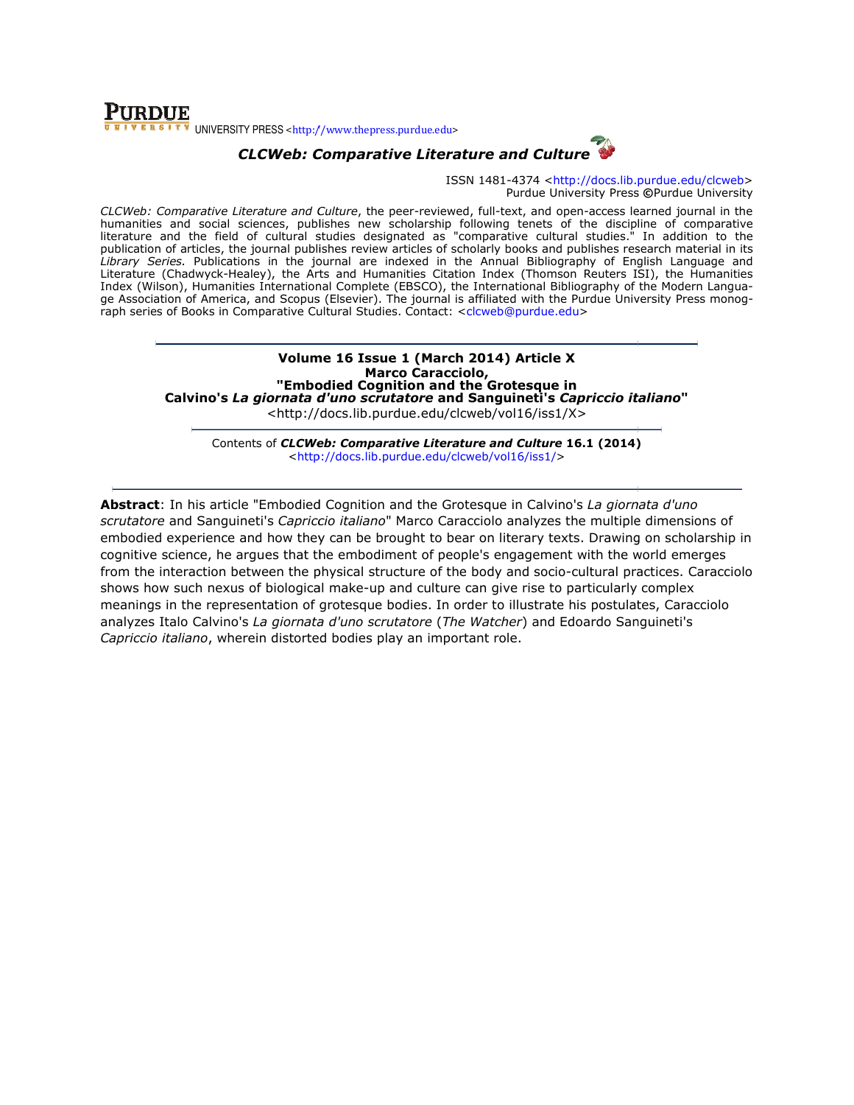# **PURDUE** UNIVERSITY PRESS <http://www.thepress.purdue.edu>

# CLCWeb: Comparative Literature and Culture

ISSN 1481-4374 <http://docs.lib.purdue.edu/clcweb> Purdue University Press ©Purdue University

CLCWeb: Comparative Literature and Culture, the peer-reviewed, full-text, and open-access learned journal in the humanities and social sciences, publishes new scholarship following tenets of the discipline of comparative CLCWeb: Comparative Literature and Culture, the peer-reviewed, full-text, and open-access learned journal in the<br>humanities and social sciences, publishes new scholarship following tenets of the discipline of comparative<br>l publication of articles, the journal publishes review articles of scholarly books and publishes research material in its Library Series. Publications in the journal are indexed in the Annual Bibliography of English Language and Literature (Chadwyck-Healey), the Arts and Humanities Citation Index (Thomson Reuters ISI), the Humanities Index (Wilson), Humanities International Complete (EBSCO), the International Bibliography of the Modern Langua Literature (Chadwyck-Healey), the Arts and Humanities Citation Index (Thomson Reuters ISI), the Humanities<br>Index (Wilson), Humanities International Complete (EBSCO), the International Bibliography of the Modern Langua-<br>ge raph series of Books in Comparative Cultural Studies. Contact: <clcweb@purdue.edu> ticles of scholarly books and publishes research material in its<br>exed in the Annual Bibliography of English Language and<br>ities Citation Index (Thomson Reuters ISI), the Humanities<br>EBSCO), the International Bibliography of

#### Volume 16 16 Issue 1 (March 2014) Article X "Embodied Calvino's *La giornata d'uno scrutatore* and Sanguineti's *Capriccio italiano*'' Marco Caracciolo, Cognition and the Grotesque in

<http://docs.li <http://docs.lib.purdue.edu/clcweb/vol16/iss1/X>

Contents of *CLCWeb: Comparative Literature and Culture* 16.1 (2014) <http://docs.lib.purdue.edu/clcweb/vol16/iss1/ http://docs.lib.purdue.edu/clcweb/vol16/iss1/>

**Abstract**: In his article "Embodied Cognition and the Grotesque in Calvino's La giornata d'uno scrutatore and Sanguineti's Capriccio italiano" Marco Caracciolo analyzes the multiple dimensions of *scrutatore* and Sanguineti's *Capriccio italiano*" Marco Caracciolo analyzes the multiple dimensions of<br>embodied experience and how they can be brought to bear on literary texts. Drawing on scholarship in cognitive science, he argues that the embodiment of people's engagement with the world emerges embodied experience and how they can be brought to bear on literary texts. Drawing on scholarship in<br>cognitive science, he argues that the embodiment of people's engagement with the world emerges<br>from the interaction betwe shows how such nexus of biological make-up and culture can give rise to particularly complex shows how such nexus of biological make-up and culture can give rise to particularly complex<br>meanings in the representation of grotesque bodies. In order to illustrate his postulates, Caracciolo analyzes Italo Calvino's *La giornata d'uno scrutatore (The Watcher*) and Edoardo Sanguineti's Capriccio italiano, wherein distorted bodies play an important role.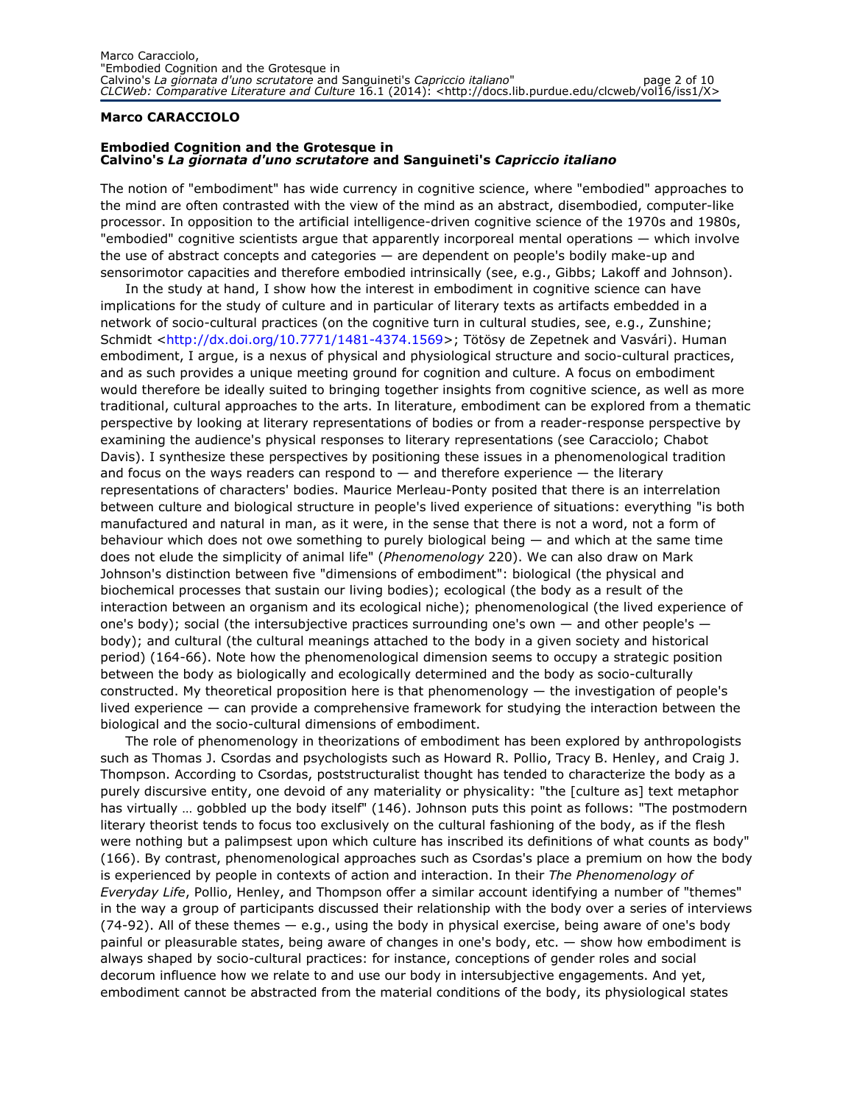### Marco CARACCIOLO

### Embodied Cognition and the Grotesque in Calvino's La giornata d'uno scrutatore and Sanguineti's Capriccio italiano

The notion of "embodiment" has wide currency in cognitive science, where "embodied" approaches to the mind are often contrasted with the view of the mind as an abstract, disembodied, computer-like processor. In opposition to the artificial intelligence-driven cognitive science of the 1970s and 1980s, "embodied" cognitive scientists argue that apparently incorporeal mental operations — which involve the use of abstract concepts and categories — are dependent on people's bodily make-up and sensorimotor capacities and therefore embodied intrinsically (see, e.g., Gibbs; Lakoff and Johnson).

In the study at hand, I show how the interest in embodiment in cognitive science can have implications for the study of culture and in particular of literary texts as artifacts embedded in a network of socio-cultural practices (on the cognitive turn in cultural studies, see, e.g., Zunshine; Schmidt <http://dx.doi.org/10.7771/1481-4374.1569>; Tötösy de Zepetnek and Vasvári). Human embodiment, I argue, is a nexus of physical and physiological structure and socio-cultural practices, and as such provides a unique meeting ground for cognition and culture. A focus on embodiment would therefore be ideally suited to bringing together insights from cognitive science, as well as more traditional, cultural approaches to the arts. In literature, embodiment can be explored from a thematic perspective by looking at literary representations of bodies or from a reader-response perspective by examining the audience's physical responses to literary representations (see Caracciolo; Chabot Davis). I synthesize these perspectives by positioning these issues in a phenomenological tradition and focus on the ways readers can respond to  $-$  and therefore experience  $-$  the literary representations of characters' bodies. Maurice Merleau-Ponty posited that there is an interrelation between culture and biological structure in people's lived experience of situations: everything "is both manufactured and natural in man, as it were, in the sense that there is not a word, not a form of behaviour which does not owe something to purely biological being — and which at the same time does not elude the simplicity of animal life" (Phenomenology 220). We can also draw on Mark Johnson's distinction between five "dimensions of embodiment": biological (the physical and biochemical processes that sustain our living bodies); ecological (the body as a result of the interaction between an organism and its ecological niche); phenomenological (the lived experience of one's body); social (the intersubjective practices surrounding one's own  $-$  and other people's  $$ body); and cultural (the cultural meanings attached to the body in a given society and historical period) (164-66). Note how the phenomenological dimension seems to occupy a strategic position between the body as biologically and ecologically determined and the body as socio-culturally constructed. My theoretical proposition here is that phenomenology — the investigation of people's lived experience — can provide a comprehensive framework for studying the interaction between the biological and the socio-cultural dimensions of embodiment.

The role of phenomenology in theorizations of embodiment has been explored by anthropologists such as Thomas J. Csordas and psychologists such as Howard R. Pollio, Tracy B. Henley, and Craig J. Thompson. According to Csordas, poststructuralist thought has tended to characterize the body as a purely discursive entity, one devoid of any materiality or physicality: "the [culture as] text metaphor has virtually … gobbled up the body itself" (146). Johnson puts this point as follows: "The postmodern literary theorist tends to focus too exclusively on the cultural fashioning of the body, as if the flesh were nothing but a palimpsest upon which culture has inscribed its definitions of what counts as body" (166). By contrast, phenomenological approaches such as Csordas's place a premium on how the body is experienced by people in contexts of action and interaction. In their The Phenomenology of Everyday Life, Pollio, Henley, and Thompson offer a similar account identifying a number of "themes" in the way a group of participants discussed their relationship with the body over a series of interviews (74-92). All of these themes — e.g., using the body in physical exercise, being aware of one's body painful or pleasurable states, being aware of changes in one's body, etc. — show how embodiment is always shaped by socio-cultural practices: for instance, conceptions of gender roles and social decorum influence how we relate to and use our body in intersubjective engagements. And yet, embodiment cannot be abstracted from the material conditions of the body, its physiological states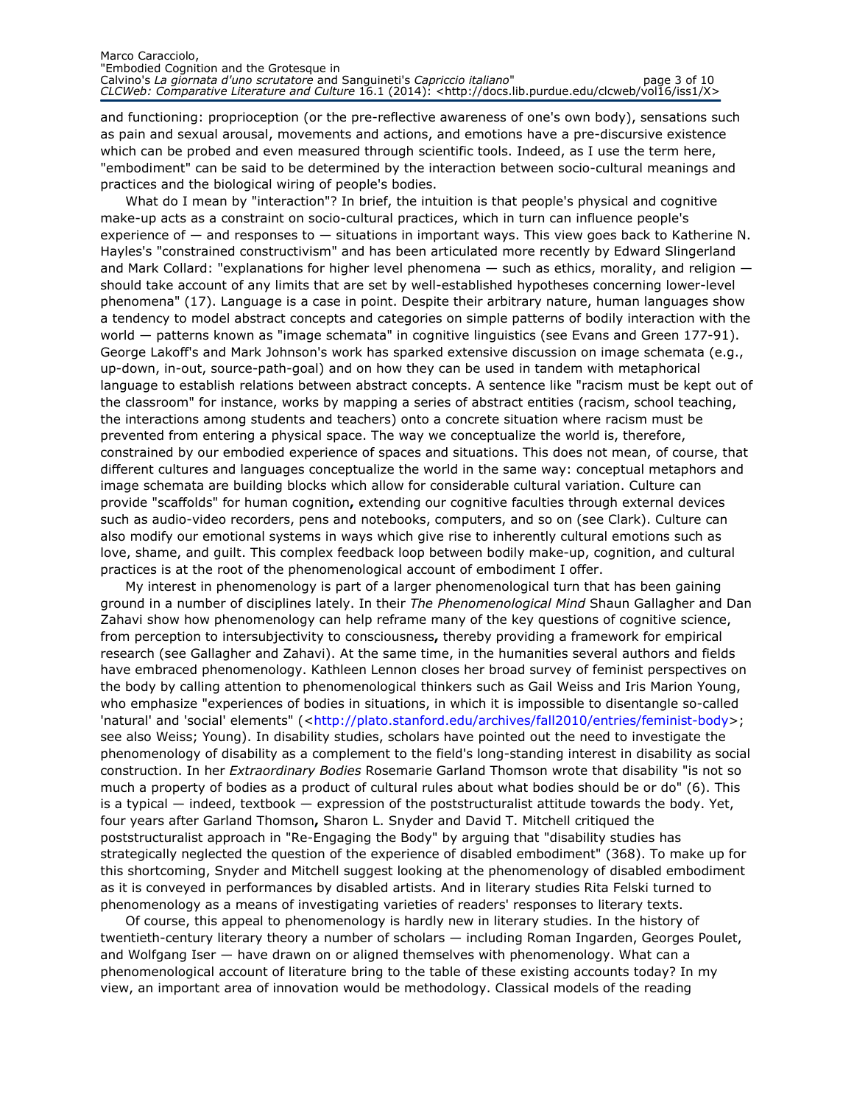#### Marco Caracciolo, "Embodied Cognition and the Grotesque in Calvino's La giornata d'uno scrutatore and Sanguineti's Capriccio italiano" entra page 3 of 10 CLCWeb: Comparative Literature and Culture 16.1 (2014): <http://docs.lib.purdue.edu/clcweb/vol16/iss1/X>

and functioning: proprioception (or the pre-reflective awareness of one's own body), sensations such as pain and sexual arousal, movements and actions, and emotions have a pre-discursive existence which can be probed and even measured through scientific tools. Indeed, as I use the term here, "embodiment" can be said to be determined by the interaction between socio-cultural meanings and practices and the biological wiring of people's bodies.

What do I mean by "interaction"? In brief, the intuition is that people's physical and cognitive make-up acts as a constraint on socio-cultural practices, which in turn can influence people's experience of  $-$  and responses to  $-$  situations in important ways. This view goes back to Katherine N. Hayles's "constrained constructivism" and has been articulated more recently by Edward Slingerland and Mark Collard: "explanations for higher level phenomena — such as ethics, morality, and religion should take account of any limits that are set by well-established hypotheses concerning lower-level phenomena" (17). Language is a case in point. Despite their arbitrary nature, human languages show a tendency to model abstract concepts and categories on simple patterns of bodily interaction with the world - patterns known as "image schemata" in cognitive linguistics (see Evans and Green 177-91). George Lakoff's and Mark Johnson's work has sparked extensive discussion on image schemata (e.g., up-down, in-out, source-path-goal) and on how they can be used in tandem with metaphorical language to establish relations between abstract concepts. A sentence like "racism must be kept out of the classroom" for instance, works by mapping a series of abstract entities (racism, school teaching, the interactions among students and teachers) onto a concrete situation where racism must be prevented from entering a physical space. The way we conceptualize the world is, therefore, constrained by our embodied experience of spaces and situations. This does not mean, of course, that different cultures and languages conceptualize the world in the same way: conceptual metaphors and image schemata are building blocks which allow for considerable cultural variation. Culture can provide "scaffolds" for human cognition, extending our cognitive faculties through external devices such as audio-video recorders, pens and notebooks, computers, and so on (see Clark). Culture can also modify our emotional systems in ways which give rise to inherently cultural emotions such as love, shame, and guilt. This complex feedback loop between bodily make-up, cognition, and cultural practices is at the root of the phenomenological account of embodiment I offer.

My interest in phenomenology is part of a larger phenomenological turn that has been gaining ground in a number of disciplines lately. In their The Phenomenological Mind Shaun Gallagher and Dan Zahavi show how phenomenology can help reframe many of the key questions of cognitive science, from perception to intersubjectivity to consciousness, thereby providing a framework for empirical research (see Gallagher and Zahavi). At the same time, in the humanities several authors and fields have embraced phenomenology. Kathleen Lennon closes her broad survey of feminist perspectives on the body by calling attention to phenomenological thinkers such as Gail Weiss and Iris Marion Young, who emphasize "experiences of bodies in situations, in which it is impossible to disentangle so-called 'natural' and 'social' elements" (<http://plato.stanford.edu/archives/fall2010/entries/feminist-body>; see also Weiss; Young). In disability studies, scholars have pointed out the need to investigate the phenomenology of disability as a complement to the field's long-standing interest in disability as social construction. In her Extraordinary Bodies Rosemarie Garland Thomson wrote that disability "is not so much a property of bodies as a product of cultural rules about what bodies should be or do" (6). This is a typical — indeed, textbook — expression of the poststructuralist attitude towards the body. Yet, four years after Garland Thomson, Sharon L. Snyder and David T. Mitchell critiqued the poststructuralist approach in "Re-Engaging the Body" by arguing that "disability studies has strategically neglected the question of the experience of disabled embodiment" (368). To make up for this shortcoming, Snyder and Mitchell suggest looking at the phenomenology of disabled embodiment as it is conveyed in performances by disabled artists. And in literary studies Rita Felski turned to phenomenology as a means of investigating varieties of readers' responses to literary texts.

Of course, this appeal to phenomenology is hardly new in literary studies. In the history of twentieth-century literary theory a number of scholars — including Roman Ingarden, Georges Poulet, and Wolfgang Iser — have drawn on or aligned themselves with phenomenology. What can a phenomenological account of literature bring to the table of these existing accounts today? In my view, an important area of innovation would be methodology. Classical models of the reading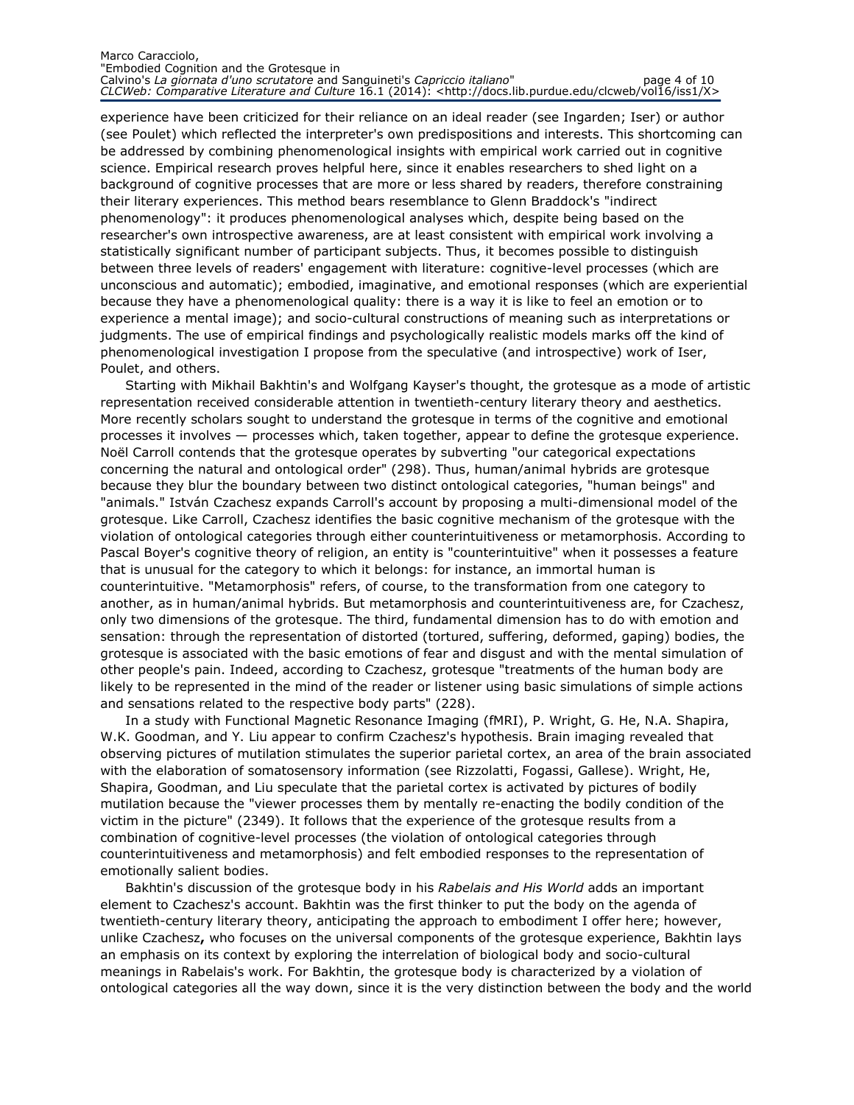#### Marco Caracciolo, "Embodied Cognition and the Grotesque in Calvino's La giornata d'uno scrutatore and Sanguineti's Capriccio italiano" entre page 4 of 10 CLCWeb: Comparative Literature and Culture 16.1 (2014): <http://docs.lib.purdue.edu/clcweb/vol16/iss1/X>

experience have been criticized for their reliance on an ideal reader (see Ingarden; Iser) or author (see Poulet) which reflected the interpreter's own predispositions and interests. This shortcoming can be addressed by combining phenomenological insights with empirical work carried out in cognitive science. Empirical research proves helpful here, since it enables researchers to shed light on a background of cognitive processes that are more or less shared by readers, therefore constraining their literary experiences. This method bears resemblance to Glenn Braddock's "indirect phenomenology": it produces phenomenological analyses which, despite being based on the researcher's own introspective awareness, are at least consistent with empirical work involving a statistically significant number of participant subjects. Thus, it becomes possible to distinguish between three levels of readers' engagement with literature: cognitive-level processes (which are unconscious and automatic); embodied, imaginative, and emotional responses (which are experiential because they have a phenomenological quality: there is a way it is like to feel an emotion or to experience a mental image); and socio-cultural constructions of meaning such as interpretations or judgments. The use of empirical findings and psychologically realistic models marks off the kind of phenomenological investigation I propose from the speculative (and introspective) work of Iser, Poulet, and others.

Starting with Mikhail Bakhtin's and Wolfgang Kayser's thought, the grotesque as a mode of artistic representation received considerable attention in twentieth-century literary theory and aesthetics. More recently scholars sought to understand the grotesque in terms of the cognitive and emotional processes it involves — processes which, taken together, appear to define the grotesque experience. Noël Carroll contends that the grotesque operates by subverting "our categorical expectations concerning the natural and ontological order" (298). Thus, human/animal hybrids are grotesque because they blur the boundary between two distinct ontological categories, "human beings" and "animals." István Czachesz expands Carroll's account by proposing a multi-dimensional model of the grotesque. Like Carroll, Czachesz identifies the basic cognitive mechanism of the grotesque with the violation of ontological categories through either counterintuitiveness or metamorphosis. According to Pascal Boyer's cognitive theory of religion, an entity is "counterintuitive" when it possesses a feature that is unusual for the category to which it belongs: for instance, an immortal human is counterintuitive. "Metamorphosis" refers, of course, to the transformation from one category to another, as in human/animal hybrids. But metamorphosis and counterintuitiveness are, for Czachesz, only two dimensions of the grotesque. The third, fundamental dimension has to do with emotion and sensation: through the representation of distorted (tortured, suffering, deformed, gaping) bodies, the grotesque is associated with the basic emotions of fear and disgust and with the mental simulation of other people's pain. Indeed, according to Czachesz, grotesque "treatments of the human body are likely to be represented in the mind of the reader or listener using basic simulations of simple actions and sensations related to the respective body parts" (228).

In a study with Functional Magnetic Resonance Imaging (fMRI), P. Wright, G. He, N.A. Shapira, W.K. Goodman, and Y. Liu appear to confirm Czachesz's hypothesis. Brain imaging revealed that observing pictures of mutilation stimulates the superior parietal cortex, an area of the brain associated with the elaboration of somatosensory information (see Rizzolatti, Fogassi, Gallese). Wright, He, Shapira, Goodman, and Liu speculate that the parietal cortex is activated by pictures of bodily mutilation because the "viewer processes them by mentally re-enacting the bodily condition of the victim in the picture" (2349). It follows that the experience of the grotesque results from a combination of cognitive-level processes (the violation of ontological categories through counterintuitiveness and metamorphosis) and felt embodied responses to the representation of emotionally salient bodies.

Bakhtin's discussion of the grotesque body in his Rabelais and His World adds an important element to Czachesz's account. Bakhtin was the first thinker to put the body on the agenda of twentieth-century literary theory, anticipating the approach to embodiment I offer here; however, unlike Czachesz, who focuses on the universal components of the grotesque experience, Bakhtin lays an emphasis on its context by exploring the interrelation of biological body and socio-cultural meanings in Rabelais's work. For Bakhtin, the grotesque body is characterized by a violation of ontological categories all the way down, since it is the very distinction between the body and the world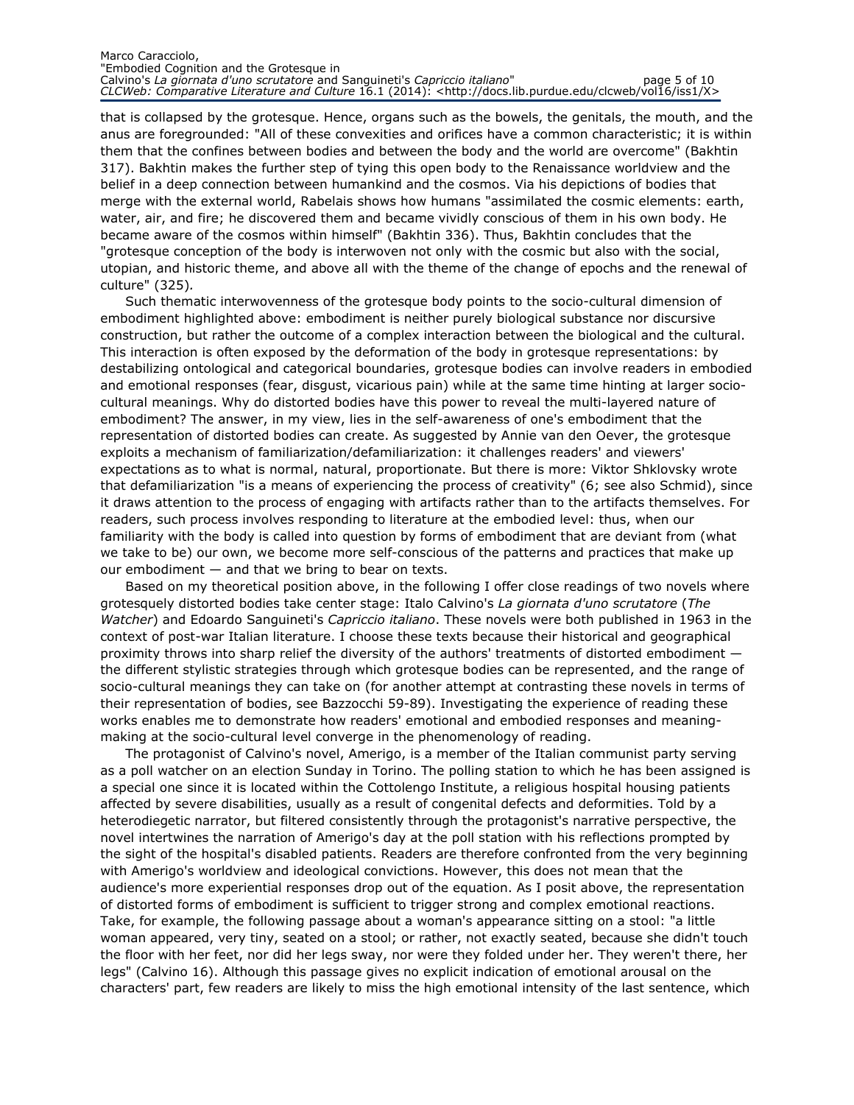#### Marco Caracciolo, "Embodied Cognition and the Grotesque in Calvino's La giornata d'uno scrutatore and Sanguineti's Capriccio italiano" entra page 5 of 10 CLCWeb: Comparative Literature and Culture 16.1 (2014): <http://docs.lib.purdue.edu/clcweb/vol16/iss1/X>

that is collapsed by the grotesque. Hence, organs such as the bowels, the genitals, the mouth, and the anus are foregrounded: "All of these convexities and orifices have a common characteristic; it is within them that the confines between bodies and between the body and the world are overcome" (Bakhtin 317). Bakhtin makes the further step of tying this open body to the Renaissance worldview and the belief in a deep connection between humankind and the cosmos. Via his depictions of bodies that merge with the external world, Rabelais shows how humans "assimilated the cosmic elements: earth, water, air, and fire; he discovered them and became vividly conscious of them in his own body. He became aware of the cosmos within himself" (Bakhtin 336). Thus, Bakhtin concludes that the "grotesque conception of the body is interwoven not only with the cosmic but also with the social, utopian, and historic theme, and above all with the theme of the change of epochs and the renewal of culture" (325).

Such thematic interwovenness of the grotesque body points to the socio-cultural dimension of embodiment highlighted above: embodiment is neither purely biological substance nor discursive construction, but rather the outcome of a complex interaction between the biological and the cultural. This interaction is often exposed by the deformation of the body in grotesque representations: by destabilizing ontological and categorical boundaries, grotesque bodies can involve readers in embodied and emotional responses (fear, disgust, vicarious pain) while at the same time hinting at larger sociocultural meanings. Why do distorted bodies have this power to reveal the multi-layered nature of embodiment? The answer, in my view, lies in the self-awareness of one's embodiment that the representation of distorted bodies can create. As suggested by Annie van den Oever, the grotesque exploits a mechanism of familiarization/defamiliarization: it challenges readers' and viewers' expectations as to what is normal, natural, proportionate. But there is more: Viktor Shklovsky wrote that defamiliarization "is a means of experiencing the process of creativity" (6; see also Schmid), since it draws attention to the process of engaging with artifacts rather than to the artifacts themselves. For readers, such process involves responding to literature at the embodied level: thus, when our familiarity with the body is called into question by forms of embodiment that are deviant from (what we take to be) our own, we become more self-conscious of the patterns and practices that make up our embodiment  $-$  and that we bring to bear on texts.

Based on my theoretical position above, in the following I offer close readings of two novels where grotesquely distorted bodies take center stage: Italo Calvino's La giornata d'uno scrutatore (The Watcher) and Edoardo Sanguineti's Capriccio italiano. These novels were both published in 1963 in the context of post-war Italian literature. I choose these texts because their historical and geographical proximity throws into sharp relief the diversity of the authors' treatments of distorted embodiment the different stylistic strategies through which grotesque bodies can be represented, and the range of socio-cultural meanings they can take on (for another attempt at contrasting these novels in terms of their representation of bodies, see Bazzocchi 59-89). Investigating the experience of reading these works enables me to demonstrate how readers' emotional and embodied responses and meaningmaking at the socio-cultural level converge in the phenomenology of reading.

The protagonist of Calvino's novel, Amerigo, is a member of the Italian communist party serving as a poll watcher on an election Sunday in Torino. The polling station to which he has been assigned is a special one since it is located within the Cottolengo Institute, a religious hospital housing patients affected by severe disabilities, usually as a result of congenital defects and deformities. Told by a heterodiegetic narrator, but filtered consistently through the protagonist's narrative perspective, the novel intertwines the narration of Amerigo's day at the poll station with his reflections prompted by the sight of the hospital's disabled patients. Readers are therefore confronted from the very beginning with Amerigo's worldview and ideological convictions. However, this does not mean that the audience's more experiential responses drop out of the equation. As I posit above, the representation of distorted forms of embodiment is sufficient to trigger strong and complex emotional reactions. Take, for example, the following passage about a woman's appearance sitting on a stool: "a little woman appeared, very tiny, seated on a stool; or rather, not exactly seated, because she didn't touch the floor with her feet, nor did her legs sway, nor were they folded under her. They weren't there, her legs" (Calvino 16). Although this passage gives no explicit indication of emotional arousal on the characters' part, few readers are likely to miss the high emotional intensity of the last sentence, which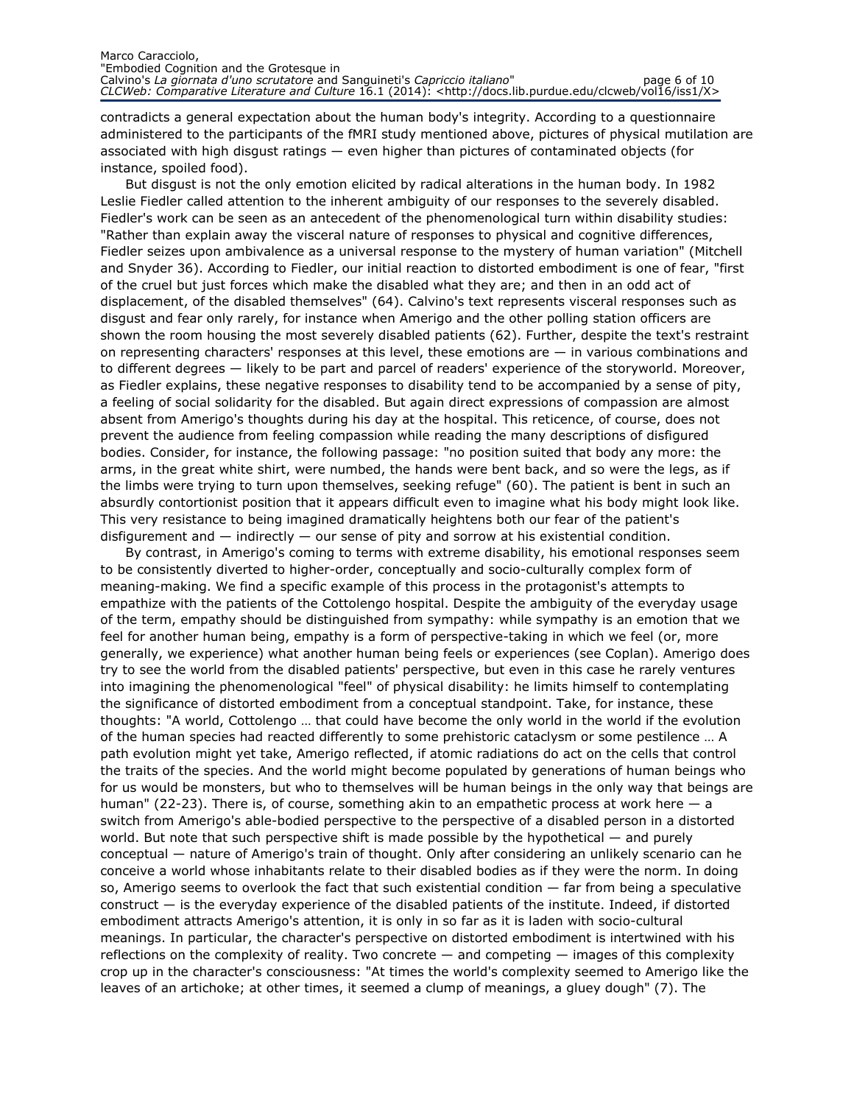contradicts a general expectation about the human body's integrity. According to a questionnaire administered to the participants of the fMRI study mentioned above, pictures of physical mutilation are associated with high disgust ratings — even higher than pictures of contaminated objects (for instance, spoiled food).

But disgust is not the only emotion elicited by radical alterations in the human body. In 1982 Leslie Fiedler called attention to the inherent ambiguity of our responses to the severely disabled. Fiedler's work can be seen as an antecedent of the phenomenological turn within disability studies: "Rather than explain away the visceral nature of responses to physical and cognitive differences, Fiedler seizes upon ambivalence as a universal response to the mystery of human variation" (Mitchell and Snyder 36). According to Fiedler, our initial reaction to distorted embodiment is one of fear, "first of the cruel but just forces which make the disabled what they are; and then in an odd act of displacement, of the disabled themselves" (64). Calvino's text represents visceral responses such as disgust and fear only rarely, for instance when Amerigo and the other polling station officers are shown the room housing the most severely disabled patients (62). Further, despite the text's restraint on representing characters' responses at this level, these emotions are — in various combinations and to different degrees — likely to be part and parcel of readers' experience of the storyworld. Moreover, as Fiedler explains, these negative responses to disability tend to be accompanied by a sense of pity, a feeling of social solidarity for the disabled. But again direct expressions of compassion are almost absent from Amerigo's thoughts during his day at the hospital. This reticence, of course, does not prevent the audience from feeling compassion while reading the many descriptions of disfigured bodies. Consider, for instance, the following passage: "no position suited that body any more: the arms, in the great white shirt, were numbed, the hands were bent back, and so were the legs, as if the limbs were trying to turn upon themselves, seeking refuge" (60). The patient is bent in such an absurdly contortionist position that it appears difficult even to imagine what his body might look like. This very resistance to being imagined dramatically heightens both our fear of the patient's disfigurement and  $-$  indirectly  $-$  our sense of pity and sorrow at his existential condition.

By contrast, in Amerigo's coming to terms with extreme disability, his emotional responses seem to be consistently diverted to higher-order, conceptually and socio-culturally complex form of meaning-making. We find a specific example of this process in the protagonist's attempts to empathize with the patients of the Cottolengo hospital. Despite the ambiguity of the everyday usage of the term, empathy should be distinguished from sympathy: while sympathy is an emotion that we feel for another human being, empathy is a form of perspective-taking in which we feel (or, more generally, we experience) what another human being feels or experiences (see Coplan). Amerigo does try to see the world from the disabled patients' perspective, but even in this case he rarely ventures into imagining the phenomenological "feel" of physical disability: he limits himself to contemplating the significance of distorted embodiment from a conceptual standpoint. Take, for instance, these thoughts: "A world, Cottolengo … that could have become the only world in the world if the evolution of the human species had reacted differently to some prehistoric cataclysm or some pestilence … A path evolution might yet take, Amerigo reflected, if atomic radiations do act on the cells that control the traits of the species. And the world might become populated by generations of human beings who for us would be monsters, but who to themselves will be human beings in the only way that beings are human" (22-23). There is, of course, something akin to an empathetic process at work here  $-$  a switch from Amerigo's able-bodied perspective to the perspective of a disabled person in a distorted world. But note that such perspective shift is made possible by the hypothetical — and purely conceptual — nature of Amerigo's train of thought. Only after considering an unlikely scenario can he conceive a world whose inhabitants relate to their disabled bodies as if they were the norm. In doing so, Amerigo seems to overlook the fact that such existential condition — far from being a speculative construct — is the everyday experience of the disabled patients of the institute. Indeed, if distorted embodiment attracts Amerigo's attention, it is only in so far as it is laden with socio-cultural meanings. In particular, the character's perspective on distorted embodiment is intertwined with his reflections on the complexity of reality. Two concrete — and competing — images of this complexity crop up in the character's consciousness: "At times the world's complexity seemed to Amerigo like the leaves of an artichoke; at other times, it seemed a clump of meanings, a gluey dough" (7). The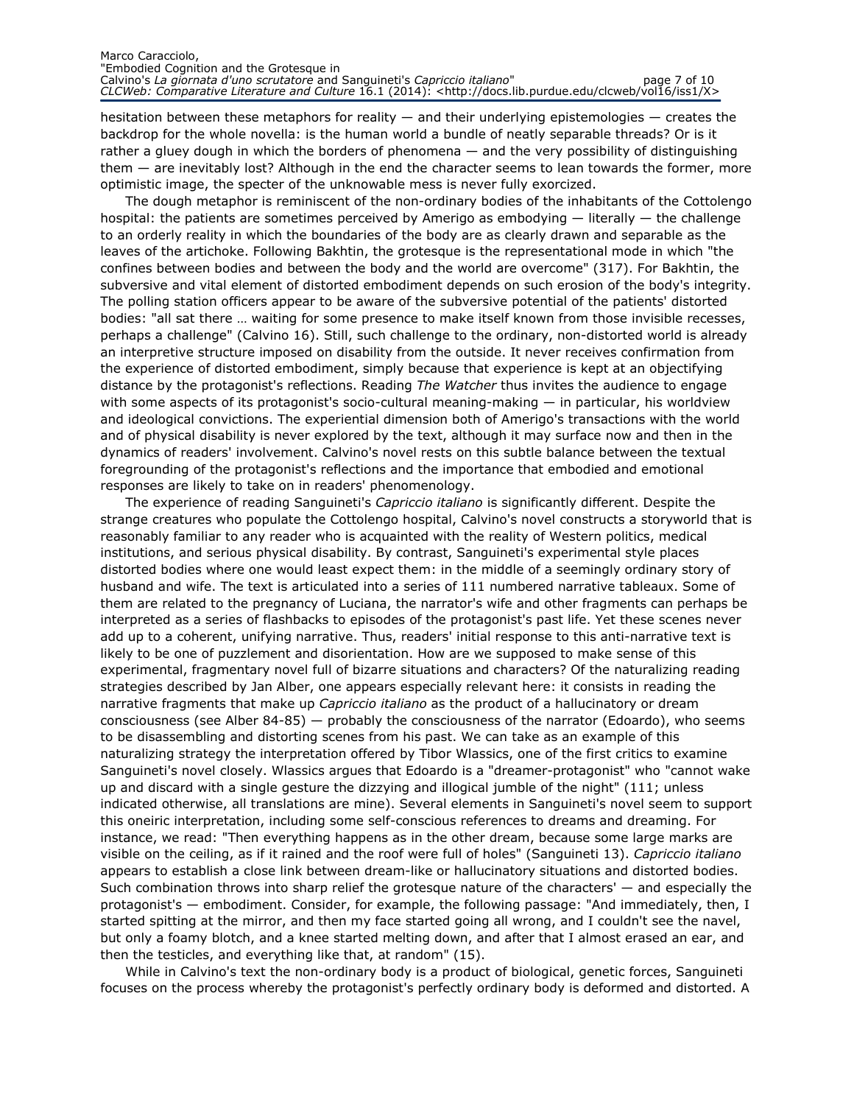#### Marco Caracciolo, "Embodied Cognition and the Grotesque in Calvino's La giornata d'uno scrutatore and Sanguineti's Capriccio italiano" entra page 7 of 10 CLCWeb: Comparative Literature and Culture 16.1 (2014): <http://docs.lib.purdue.edu/clcweb/vol16/iss1/X>

hesitation between these metaphors for reality — and their underlying epistemologies — creates the backdrop for the whole novella: is the human world a bundle of neatly separable threads? Or is it rather a gluey dough in which the borders of phenomena — and the very possibility of distinguishing them — are inevitably lost? Although in the end the character seems to lean towards the former, more optimistic image, the specter of the unknowable mess is never fully exorcized.

The dough metaphor is reminiscent of the non-ordinary bodies of the inhabitants of the Cottolengo hospital: the patients are sometimes perceived by Amerigo as embodying — literally — the challenge to an orderly reality in which the boundaries of the body are as clearly drawn and separable as the leaves of the artichoke. Following Bakhtin, the grotesque is the representational mode in which "the confines between bodies and between the body and the world are overcome" (317). For Bakhtin, the subversive and vital element of distorted embodiment depends on such erosion of the body's integrity. The polling station officers appear to be aware of the subversive potential of the patients' distorted bodies: "all sat there … waiting for some presence to make itself known from those invisible recesses, perhaps a challenge" (Calvino 16). Still, such challenge to the ordinary, non-distorted world is already an interpretive structure imposed on disability from the outside. It never receives confirmation from the experience of distorted embodiment, simply because that experience is kept at an objectifying distance by the protagonist's reflections. Reading The Watcher thus invites the audience to engage with some aspects of its protagonist's socio-cultural meaning-making — in particular, his worldview and ideological convictions. The experiential dimension both of Amerigo's transactions with the world and of physical disability is never explored by the text, although it may surface now and then in the dynamics of readers' involvement. Calvino's novel rests on this subtle balance between the textual foregrounding of the protagonist's reflections and the importance that embodied and emotional responses are likely to take on in readers' phenomenology.

The experience of reading Sanguineti's *Capriccio italiano* is significantly different. Despite the strange creatures who populate the Cottolengo hospital, Calvino's novel constructs a storyworld that is reasonably familiar to any reader who is acquainted with the reality of Western politics, medical institutions, and serious physical disability. By contrast, Sanguineti's experimental style places distorted bodies where one would least expect them: in the middle of a seemingly ordinary story of husband and wife. The text is articulated into a series of 111 numbered narrative tableaux. Some of them are related to the pregnancy of Luciana, the narrator's wife and other fragments can perhaps be interpreted as a series of flashbacks to episodes of the protagonist's past life. Yet these scenes never add up to a coherent, unifying narrative. Thus, readers' initial response to this anti-narrative text is likely to be one of puzzlement and disorientation. How are we supposed to make sense of this experimental, fragmentary novel full of bizarre situations and characters? Of the naturalizing reading strategies described by Jan Alber, one appears especially relevant here: it consists in reading the narrative fragments that make up Capriccio italiano as the product of a hallucinatory or dream consciousness (see Alber 84-85) — probably the consciousness of the narrator (Edoardo), who seems to be disassembling and distorting scenes from his past. We can take as an example of this naturalizing strategy the interpretation offered by Tibor Wlassics, one of the first critics to examine Sanguineti's novel closely. Wlassics argues that Edoardo is a "dreamer-protagonist" who "cannot wake up and discard with a single gesture the dizzying and illogical jumble of the night" (111; unless indicated otherwise, all translations are mine). Several elements in Sanguineti's novel seem to support this oneiric interpretation, including some self-conscious references to dreams and dreaming. For instance, we read: "Then everything happens as in the other dream, because some large marks are visible on the ceiling, as if it rained and the roof were full of holes" (Sanguineti 13). Capriccio italiano appears to establish a close link between dream-like or hallucinatory situations and distorted bodies. Such combination throws into sharp relief the grotesque nature of the characters' — and especially the protagonist's — embodiment. Consider, for example, the following passage: "And immediately, then, I started spitting at the mirror, and then my face started going all wrong, and I couldn't see the navel, but only a foamy blotch, and a knee started melting down, and after that I almost erased an ear, and then the testicles, and everything like that, at random" (15).

While in Calvino's text the non-ordinary body is a product of biological, genetic forces, Sanguineti focuses on the process whereby the protagonist's perfectly ordinary body is deformed and distorted. A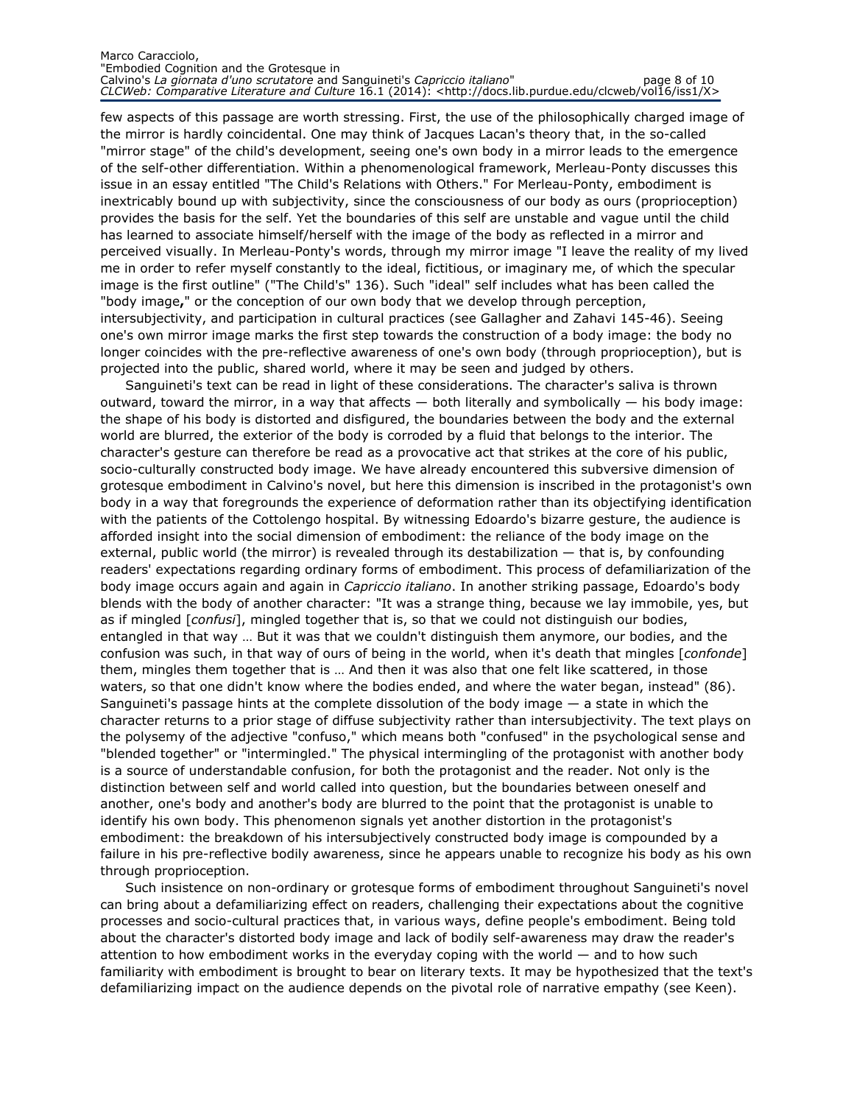#### Marco Caracciolo, "Embodied Cognition and the Grotesque in Calvino's La giornata d'uno scrutatore and Sanguineti's Capriccio italiano" entre page 8 of 10 CLCWeb: Comparative Literature and Culture 16.1 (2014): <http://docs.lib.purdue.edu/clcweb/vol16/iss1/X>

few aspects of this passage are worth stressing. First, the use of the philosophically charged image of the mirror is hardly coincidental. One may think of Jacques Lacan's theory that, in the so-called "mirror stage" of the child's development, seeing one's own body in a mirror leads to the emergence of the self-other differentiation. Within a phenomenological framework, Merleau-Ponty discusses this issue in an essay entitled "The Child's Relations with Others." For Merleau-Ponty, embodiment is inextricably bound up with subjectivity, since the consciousness of our body as ours (proprioception) provides the basis for the self. Yet the boundaries of this self are unstable and vague until the child has learned to associate himself/herself with the image of the body as reflected in a mirror and perceived visually. In Merleau-Ponty's words, through my mirror image "I leave the reality of my lived me in order to refer myself constantly to the ideal, fictitious, or imaginary me, of which the specular image is the first outline" ("The Child's" 136). Such "ideal" self includes what has been called the "body image," or the conception of our own body that we develop through perception, intersubjectivity, and participation in cultural practices (see Gallagher and Zahavi 145-46). Seeing one's own mirror image marks the first step towards the construction of a body image: the body no longer coincides with the pre-reflective awareness of one's own body (through proprioception), but is projected into the public, shared world, where it may be seen and judged by others.

Sanguineti's text can be read in light of these considerations. The character's saliva is thrown outward, toward the mirror, in a way that affects  $-$  both literally and symbolically  $-$  his body image: the shape of his body is distorted and disfigured, the boundaries between the body and the external world are blurred, the exterior of the body is corroded by a fluid that belongs to the interior. The character's gesture can therefore be read as a provocative act that strikes at the core of his public, socio-culturally constructed body image. We have already encountered this subversive dimension of grotesque embodiment in Calvino's novel, but here this dimension is inscribed in the protagonist's own body in a way that foregrounds the experience of deformation rather than its objectifying identification with the patients of the Cottolengo hospital. By witnessing Edoardo's bizarre gesture, the audience is afforded insight into the social dimension of embodiment: the reliance of the body image on the external, public world (the mirror) is revealed through its destabilization — that is, by confounding readers' expectations regarding ordinary forms of embodiment. This process of defamiliarization of the body image occurs again and again in *Capriccio italiano*. In another striking passage, Edoardo's body blends with the body of another character: "It was a strange thing, because we lay immobile, yes, but as if mingled [confusi], mingled together that is, so that we could not distinguish our bodies, entangled in that way … But it was that we couldn't distinguish them anymore, our bodies, and the confusion was such, in that way of ours of being in the world, when it's death that mingles [confonde] them, mingles them together that is … And then it was also that one felt like scattered, in those waters, so that one didn't know where the bodies ended, and where the water began, instead" (86). Sanguineti's passage hints at the complete dissolution of the body image — a state in which the character returns to a prior stage of diffuse subjectivity rather than intersubjectivity. The text plays on the polysemy of the adjective "confuso," which means both "confused" in the psychological sense and "blended together" or "intermingled." The physical intermingling of the protagonist with another body is a source of understandable confusion, for both the protagonist and the reader. Not only is the distinction between self and world called into question, but the boundaries between oneself and another, one's body and another's body are blurred to the point that the protagonist is unable to identify his own body. This phenomenon signals yet another distortion in the protagonist's embodiment: the breakdown of his intersubjectively constructed body image is compounded by a failure in his pre-reflective bodily awareness, since he appears unable to recognize his body as his own through proprioception.

Such insistence on non-ordinary or grotesque forms of embodiment throughout Sanguineti's novel can bring about a defamiliarizing effect on readers, challenging their expectations about the cognitive processes and socio-cultural practices that, in various ways, define people's embodiment. Being told about the character's distorted body image and lack of bodily self-awareness may draw the reader's attention to how embodiment works in the everyday coping with the world — and to how such familiarity with embodiment is brought to bear on literary texts. It may be hypothesized that the text's defamiliarizing impact on the audience depends on the pivotal role of narrative empathy (see Keen).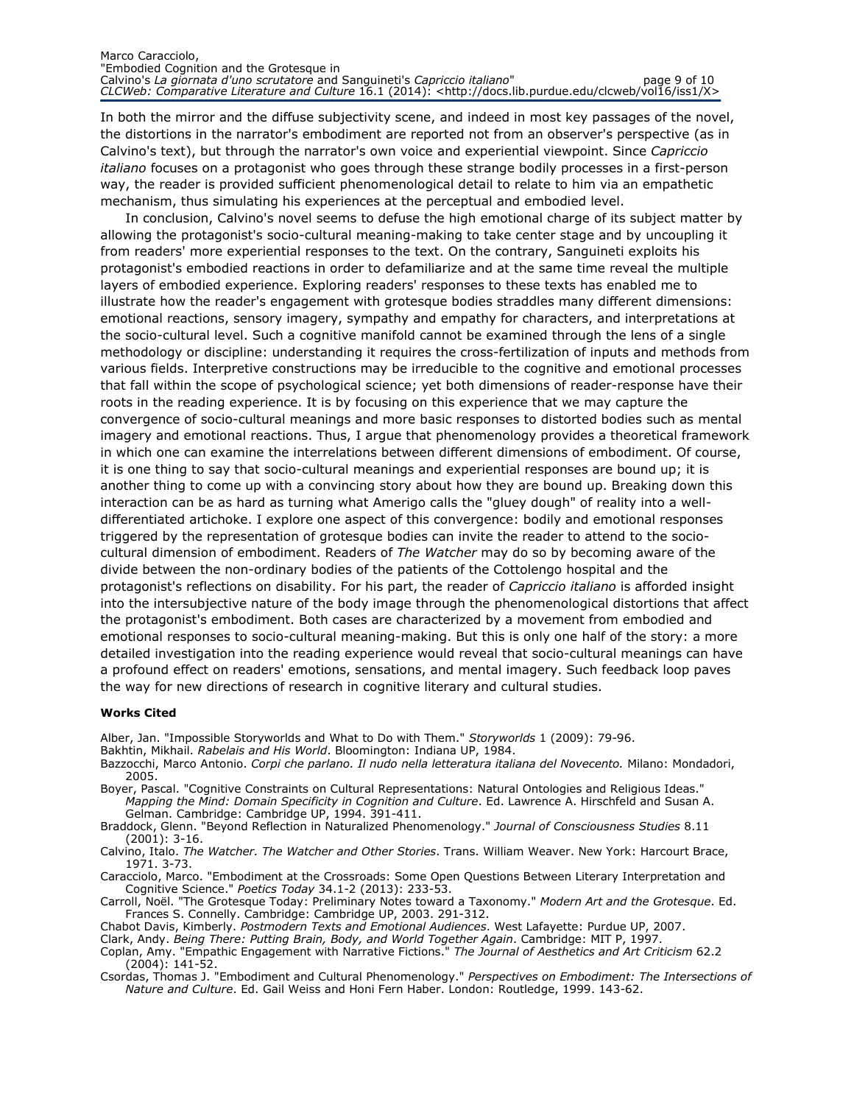#### Marco Caracciolo, "Embodied Cognition and the Grotesque in Calvino's La giornata d'uno scrutatore and Sanguineti's Capriccio italiano" page 9 of 10 CLCWeb: Comparative Literature and Culture 16.1 (2014): <http://docs.lib.purdue.edu/clcweb/vol16/iss1/X>

In both the mirror and the diffuse subjectivity scene, and indeed in most key passages of the novel, the distortions in the narrator's embodiment are reported not from an observer's perspective (as in Calvino's text), but through the narrator's own voice and experiential viewpoint. Since Capriccio italiano focuses on a protagonist who goes through these strange bodily processes in a first-person way, the reader is provided sufficient phenomenological detail to relate to him via an empathetic mechanism, thus simulating his experiences at the perceptual and embodied level.

In conclusion, Calvino's novel seems to defuse the high emotional charge of its subject matter by allowing the protagonist's socio-cultural meaning-making to take center stage and by uncoupling it from readers' more experiential responses to the text. On the contrary, Sanguineti exploits his protagonist's embodied reactions in order to defamiliarize and at the same time reveal the multiple layers of embodied experience. Exploring readers' responses to these texts has enabled me to illustrate how the reader's engagement with grotesque bodies straddles many different dimensions: emotional reactions, sensory imagery, sympathy and empathy for characters, and interpretations at the socio-cultural level. Such a cognitive manifold cannot be examined through the lens of a single methodology or discipline: understanding it requires the cross-fertilization of inputs and methods from various fields. Interpretive constructions may be irreducible to the cognitive and emotional processes that fall within the scope of psychological science; yet both dimensions of reader-response have their roots in the reading experience. It is by focusing on this experience that we may capture the convergence of socio-cultural meanings and more basic responses to distorted bodies such as mental imagery and emotional reactions. Thus, I argue that phenomenology provides a theoretical framework in which one can examine the interrelations between different dimensions of embodiment. Of course, it is one thing to say that socio-cultural meanings and experiential responses are bound up; it is another thing to come up with a convincing story about how they are bound up. Breaking down this interaction can be as hard as turning what Amerigo calls the "gluey dough" of reality into a welldifferentiated artichoke. I explore one aspect of this convergence: bodily and emotional responses triggered by the representation of grotesque bodies can invite the reader to attend to the sociocultural dimension of embodiment. Readers of The Watcher may do so by becoming aware of the divide between the non-ordinary bodies of the patients of the Cottolengo hospital and the protagonist's reflections on disability. For his part, the reader of Capriccio italiano is afforded insight into the intersubjective nature of the body image through the phenomenological distortions that affect the protagonist's embodiment. Both cases are characterized by a movement from embodied and emotional responses to socio-cultural meaning-making. But this is only one half of the story: a more detailed investigation into the reading experience would reveal that socio-cultural meanings can have a profound effect on readers' emotions, sensations, and mental imagery. Such feedback loop paves the way for new directions of research in cognitive literary and cultural studies.

### Works Cited

Alber, Jan. "Impossible Storyworlds and What to Do with Them." Storyworlds 1 (2009): 79-96.

Bakhtin, Mikhail. Rabelais and His World. Bloomington: Indiana UP, 1984.

- Bazzocchi, Marco Antonio. Corpi che parlano. Il nudo nella letteratura italiana del Novecento. Milano: Mondadori, 2005.
- Boyer, Pascal. "Cognitive Constraints on Cultural Representations: Natural Ontologies and Religious Ideas." Mapping the Mind: Domain Specificity in Cognition and Culture. Ed. Lawrence A. Hirschfeld and Susan A. Gelman. Cambridge: Cambridge UP, 1994. 391-411.

Braddock, Glenn. "Beyond Reflection in Naturalized Phenomenology." Journal of Consciousness Studies 8.11 (2001): 3-16.

Calvino, Italo. The Watcher. The Watcher and Other Stories. Trans. William Weaver. New York: Harcourt Brace, 1971. 3-73.

Caracciolo, Marco. "Embodiment at the Crossroads: Some Open Questions Between Literary Interpretation and Cognitive Science." Poetics Today 34.1-2 (2013): 233-53.

Carroll, Noël. "The Grotesque Today: Preliminary Notes toward a Taxonomy." Modern Art and the Grotesque. Ed. Frances S. Connelly. Cambridge: Cambridge UP, 2003. 291-312.

Chabot Davis, Kimberly. Postmodern Texts and Emotional Audiences. West Lafayette: Purdue UP, 2007.

Clark, Andy. Being There: Putting Brain, Body, and World Together Again. Cambridge: MIT P, 1997. Coplan, Amy. "Empathic Engagement with Narrative Fictions." The Journal of Aesthetics and Art Criticism 62.2 (2004): 141-52.

Csordas, Thomas J. "Embodiment and Cultural Phenomenology." Perspectives on Embodiment: The Intersections of Nature and Culture. Ed. Gail Weiss and Honi Fern Haber. London: Routledge, 1999. 143-62.